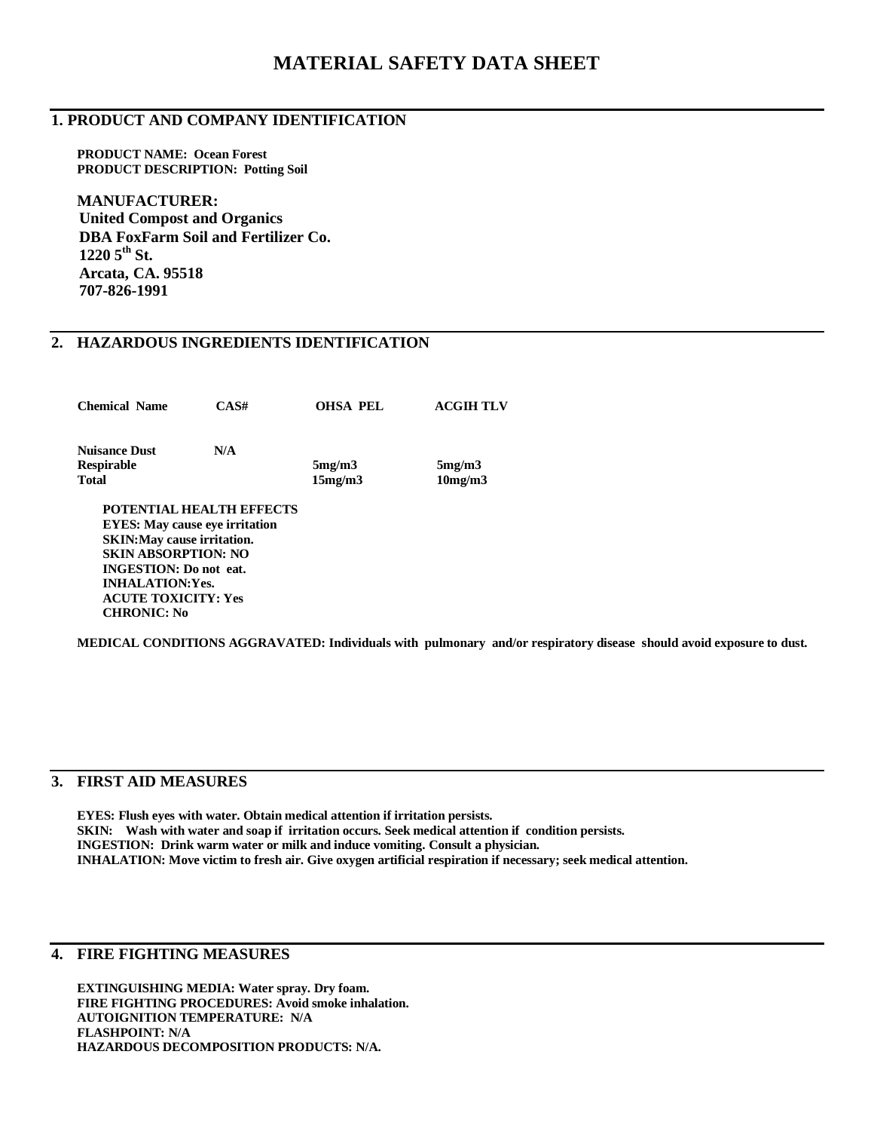# **MATERIAL SAFETY DATA SHEET**

#### **1. PRODUCT AND COMPANY IDENTIFICATION**

**PRODUCT NAME: Ocean Forest PRODUCT DESCRIPTION: Potting Soil**

**MANUFACTURER: United Compost and Organics DBA FoxFarm Soil and Fertilizer Co. 1220 5th St. Arcata, CA. 95518 707-826-1991**

# **2. HAZARDOUS INGREDIENTS IDENTIFICATION**

| <b>Chemical Name</b> | CAS# | <b>OHSA PEL</b> | <b>ACGIH TLV</b> |
|----------------------|------|-----------------|------------------|
| <b>Nuisance Dust</b> | N/A  |                 |                  |
| <b>Respirable</b>    |      | 5mg/m3          | 5mg/m3           |
| <b>Total</b>         |      | 15mg/m3         | 10mg/m3          |

**EYES: May cause eye irritation SKIN:May cause irritation. SKIN ABSORPTION: NO INGESTION: Do not eat. INHALATION:Yes. ACUTE TOXICITY: Yes CHRONIC: No**

**MEDICAL CONDITIONS AGGRAVATED: Individuals with pulmonary and/or respiratory disease should avoid exposure to dust.**

### **3. FIRST AID MEASURES**

**EYES: Flush eyes with water. Obtain medical attention if irritation persists. SKIN: Wash with water and soap if irritation occurs. Seek medical attention if condition persists. INGESTION: Drink warm water or milk and induce vomiting. Consult a physician. INHALATION: Move victim to fresh air. Give oxygen artificial respiration if necessary; seek medical attention.**

### **4. FIRE FIGHTING MEASURES**

**EXTINGUISHING MEDIA: Water spray. Dry foam. FIRE FIGHTING PROCEDURES: Avoid smoke inhalation. AUTOIGNITION TEMPERATURE: N/A FLASHPOINT: N/A HAZARDOUS DECOMPOSITION PRODUCTS: N/A.**